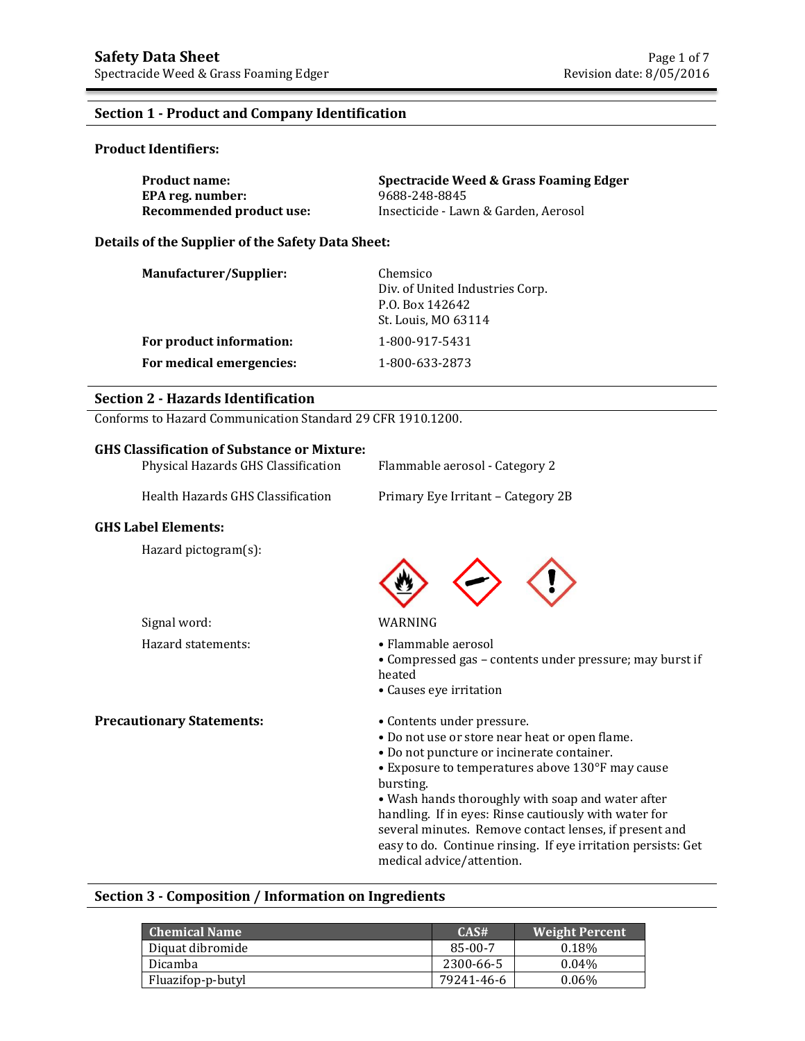## **Section 1 - Product and Company Identification**

#### **Product Identifiers:**

| <b>Product name:</b>     | Spectracide Weed & Grass Foaming Edger |
|--------------------------|----------------------------------------|
| EPA reg. number:         | 9688-248-8845                          |
| Recommended product use: | Insecticide - Lawn & Garden, Aerosol   |

## **Details of the Supplier of the Safety Data Sheet:**

| Manufacturer/Supplier:   | Chemsico<br>Div. of United Industries Corp.<br>P.O. Box 142642<br>St. Louis, MO 63114 |
|--------------------------|---------------------------------------------------------------------------------------|
| For product information: | 1-800-917-5431                                                                        |
| For medical emergencies: | 1-800-633-2873                                                                        |

### **Section 2 - Hazards Identification**

Conforms to Hazard Communication Standard 29 CFR 1910.1200.

## **GHS Classification of Substance or Mixture:**

| <b>GHS Label Elements:</b>          |                                    |
|-------------------------------------|------------------------------------|
| Health Hazards GHS Classification   | Primary Eye Irritant – Category 2B |
| Physical Hazards GHS Classification | Flammable aerosol - Category 2     |

Hazard pictogram(s):

| $\sqrt{N}$ |  |
|------------|--|

Signal word: WARNING

- Hazard statements: • Flammable aerosol
	- Compressed gas contents under pressure; may burst if heated
	- Causes eye irritation

### **Precautionary Statements:** • Contents under pressure.

- 
- Do not use or store near heat or open flame.
- Do not puncture or incinerate container.
- Exposure to temperatures above 130°F may cause bursting.

• Wash hands thoroughly with soap and water after handling. If in eyes: Rinse cautiously with water for several minutes. Remove contact lenses, if present and easy to do. Continue rinsing. If eye irritation persists: Get medical advice/attention.

## **Section 3 - Composition / Information on Ingredients**

| <b>Chemical Name</b> | CAS#       | <b>Weight Percent</b> |
|----------------------|------------|-----------------------|
| Diquat dibromide     | 85-00-7    | $0.18\%$              |
| Dicamba              | 2300-66-5  | $0.04\%$              |
| Fluazifop-p-butyl    | 79241-46-6 | $0.06\%$              |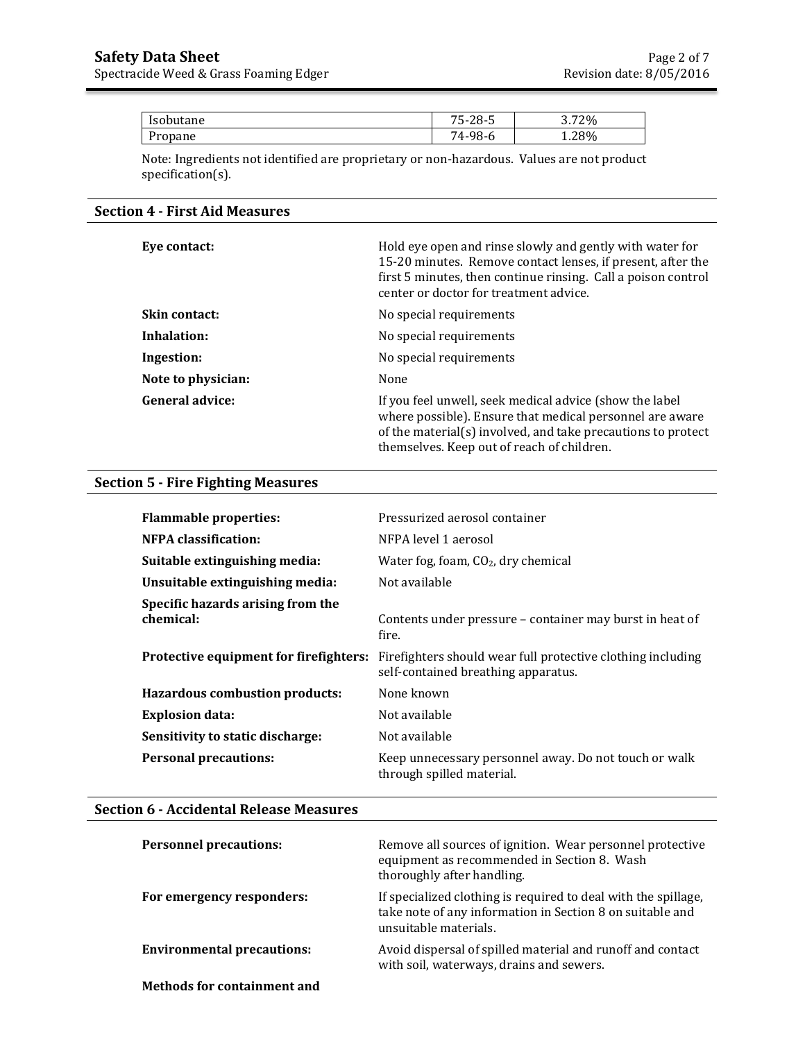| Isobutane | nn.<br>-28-5<br>5-1<br>ັ | 72%<br>ົ<br>J. / 4 |
|-----------|--------------------------|--------------------|
| Propane   | 74-98-6                  | 1.28%              |

Note: Ingredients not identified are proprietary or non-hazardous. Values are not product specification(s).

## **Section 4 - First Aid Measures**

| Eve contact:         | Hold eye open and rinse slowly and gently with water for<br>15-20 minutes. Remove contact lenses, if present, after the<br>first 5 minutes, then continue rinsing. Call a poison control<br>center or doctor for treatment advice. |
|----------------------|------------------------------------------------------------------------------------------------------------------------------------------------------------------------------------------------------------------------------------|
| <b>Skin contact:</b> | No special requirements                                                                                                                                                                                                            |
| Inhalation:          | No special requirements                                                                                                                                                                                                            |
| Ingestion:           | No special requirements                                                                                                                                                                                                            |
| Note to physician:   | None                                                                                                                                                                                                                               |
| General advice:      | If you feel unwell, seek medical advice (show the label<br>where possible). Ensure that medical personnel are aware<br>of the material(s) involved, and take precautions to protect<br>themselves. Keep out of reach of children.  |

## **Section 5 - Fire Fighting Measures**

| <b>Flammable properties:</b>                   | Pressurized aerosol container                                                                      |
|------------------------------------------------|----------------------------------------------------------------------------------------------------|
| NFPA classification:                           | NFPA level 1 aerosol                                                                               |
| Suitable extinguishing media:                  | Water fog, foam, $CO2$ , dry chemical                                                              |
| Unsuitable extinguishing media:                | Not available                                                                                      |
| Specific hazards arising from the<br>chemical: | Contents under pressure – container may burst in heat of<br>fire.                                  |
| Protective equipment for firefighters:         | Firefighters should wear full protective clothing including<br>self-contained breathing apparatus. |
| <b>Hazardous combustion products:</b>          | None known                                                                                         |
| <b>Explosion data:</b>                         | Not available                                                                                      |
| Sensitivity to static discharge:               | Not available                                                                                      |
| <b>Personal precautions:</b>                   | Keep unnecessary personnel away. Do not touch or walk<br>through spilled material.                 |

#### **Section 6 - Accidental Release Measures**

| <b>Personnel precautions:</b>      | Remove all sources of ignition. Wear personnel protective<br>equipment as recommended in Section 8. Wash<br>thoroughly after handling.               |
|------------------------------------|------------------------------------------------------------------------------------------------------------------------------------------------------|
| For emergency responders:          | If specialized clothing is required to deal with the spillage,<br>take note of any information in Section 8 on suitable and<br>unsuitable materials. |
| <b>Environmental precautions:</b>  | Avoid dispersal of spilled material and runoff and contact<br>with soil, waterways, drains and sewers.                                               |
| <b>Methods for containment and</b> |                                                                                                                                                      |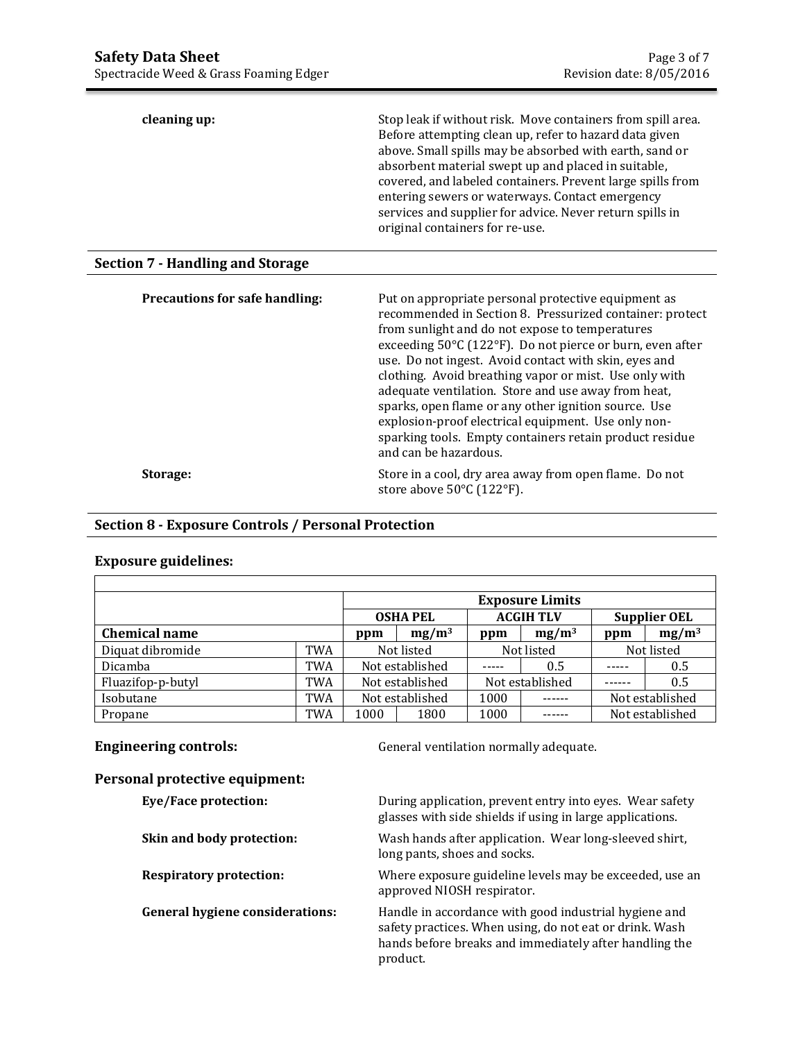$\overline{1}$ 

| cleaning up:                            | Stop leak if without risk. Move containers from spill area.<br>Before attempting clean up, refer to hazard data given<br>above. Small spills may be absorbed with earth, sand or<br>absorbent material swept up and placed in suitable,<br>covered, and labeled containers. Prevent large spills from<br>entering sewers or waterways. Contact emergency<br>services and supplier for advice. Never return spills in<br>original containers for re-use.                                                                                                                                                      |
|-----------------------------------------|--------------------------------------------------------------------------------------------------------------------------------------------------------------------------------------------------------------------------------------------------------------------------------------------------------------------------------------------------------------------------------------------------------------------------------------------------------------------------------------------------------------------------------------------------------------------------------------------------------------|
| <b>Section 7 - Handling and Storage</b> |                                                                                                                                                                                                                                                                                                                                                                                                                                                                                                                                                                                                              |
| <b>Precautions for safe handling:</b>   | Put on appropriate personal protective equipment as<br>recommended in Section 8. Pressurized container: protect<br>from sunlight and do not expose to temperatures<br>exceeding 50°C (122°F). Do not pierce or burn, even after<br>use. Do not ingest. Avoid contact with skin, eyes and<br>clothing. Avoid breathing vapor or mist. Use only with<br>adequate ventilation. Store and use away from heat,<br>sparks, open flame or any other ignition source. Use<br>explosion-proof electrical equipment. Use only non-<br>sparking tools. Empty containers retain product residue<br>and can be hazardous. |
| Storage:                                | Store in a cool, dry area away from open flame. Do not<br>store above 50°C (122°F).                                                                                                                                                                                                                                                                                                                                                                                                                                                                                                                          |

# **Section 8 - Exposure Controls / Personal Protection**

## **Exposure guidelines:**

|                      |            | <b>Exposure Limits</b>                                     |          |                 |          |            |                 |
|----------------------|------------|------------------------------------------------------------|----------|-----------------|----------|------------|-----------------|
|                      |            | <b>OSHA PEL</b><br><b>ACGIH TLV</b><br><b>Supplier OEL</b> |          |                 |          |            |                 |
| <b>Chemical name</b> |            | ppm                                                        | $mg/m^3$ | ppm             | $mg/m^3$ | ppm        | $mg/m^3$        |
| Diquat dibromide     | TWA        | Not listed                                                 |          | Not listed      |          | Not listed |                 |
| Dicamba              | <b>TWA</b> | Not established                                            |          | -----           | 0.5      |            | 0.5             |
| Fluazifop-p-butyl    | TWA        | Not established                                            |          | Not established |          |            | 0.5             |
| Isobutane            | TWA        | Not established                                            |          | 1000            |          |            | Not established |
| Propane              | TWA        | 1000<br>1800                                               |          | 1000            |          |            | Not established |

**Engineering controls: General ventilation normally adequate.** 

# **Personal protective equipment:**

| Eye/Face protection:                   | During application, prevent entry into eyes. Wear safety<br>glasses with side shields if using in large applications.                                                                  |
|----------------------------------------|----------------------------------------------------------------------------------------------------------------------------------------------------------------------------------------|
| Skin and body protection:              | Wash hands after application. Wear long-sleeved shirt,<br>long pants, shoes and socks.                                                                                                 |
| <b>Respiratory protection:</b>         | Where exposure guideline levels may be exceeded, use an<br>approved NIOSH respirator.                                                                                                  |
| <b>General hygiene considerations:</b> | Handle in accordance with good industrial hygiene and<br>safety practices. When using, do not eat or drink. Wash<br>hands before breaks and immediately after handling the<br>product. |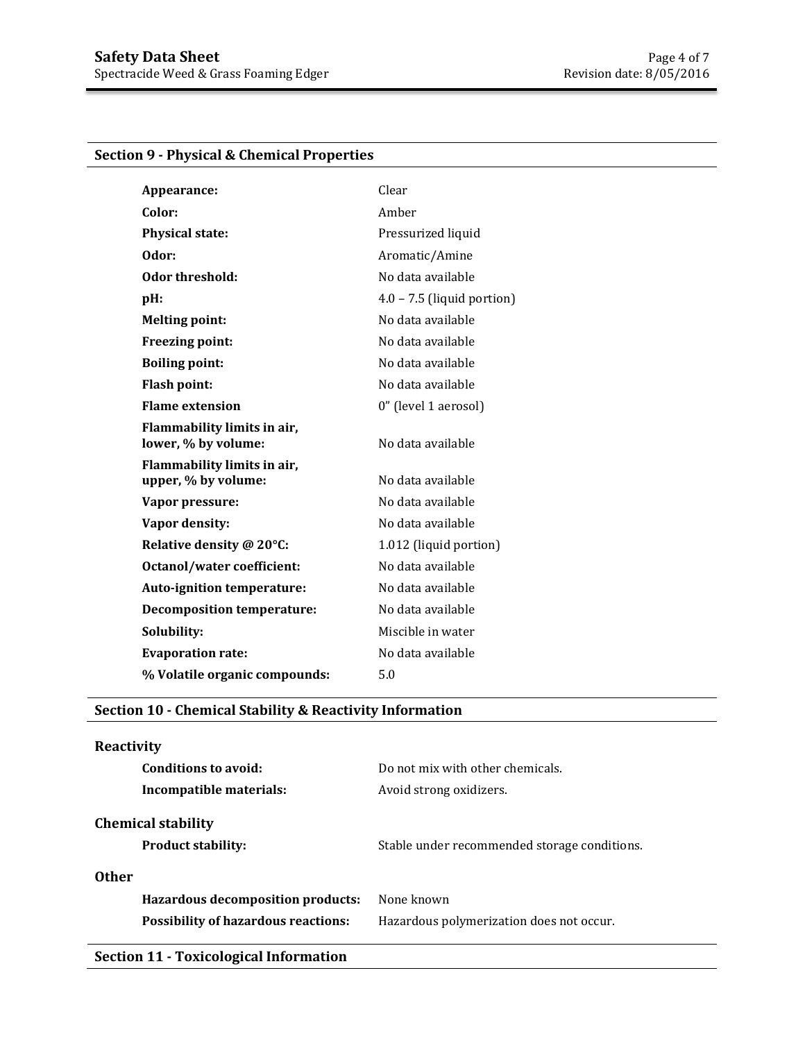# **Section 9 - Physical & Chemical Properties**

| Appearance:                                        | Clear                        |
|----------------------------------------------------|------------------------------|
| Color:                                             | Amber                        |
| <b>Physical state:</b>                             | Pressurized liquid           |
| Odor:                                              | Aromatic/Amine               |
| Odor threshold:                                    | No data available            |
| pH:                                                | $4.0 - 7.5$ (liquid portion) |
| <b>Melting point:</b>                              | No data available            |
| <b>Freezing point:</b>                             | No data available            |
| <b>Boiling point:</b>                              | No data available            |
| <b>Flash point:</b>                                | No data available            |
| <b>Flame extension</b>                             | 0" (level 1 aerosol)         |
| Flammability limits in air,<br>lower, % by volume: | No data available            |
| Flammability limits in air,<br>upper, % by volume: | No data available            |
| Vapor pressure:                                    | No data available            |
| Vapor density:                                     | No data available            |
| Relative density @ 20°C:                           | 1.012 (liquid portion)       |
| <b>Octanol/water coefficient:</b>                  | No data available            |
| Auto-ignition temperature:                         | No data available            |
| <b>Decomposition temperature:</b>                  | No data available            |
| Solubility:                                        | Miscible in water            |
| <b>Evaporation rate:</b>                           | No data available            |
| % Volatile organic compounds:                      | 5.0                          |

# **Section 10 - Chemical Stability & Reactivity Information**

| Reactivity                                             |                                              |
|--------------------------------------------------------|----------------------------------------------|
| Conditions to avoid:                                   | Do not mix with other chemicals.             |
| Incompatible materials:                                | Avoid strong oxidizers.                      |
| <b>Chemical stability</b><br><b>Product stability:</b> | Stable under recommended storage conditions. |
| <b>Other</b>                                           |                                              |
| Hazardous decomposition products:                      | None known                                   |
| <b>Possibility of hazardous reactions:</b>             | Hazardous polymerization does not occur.     |
|                                                        |                                              |

# **Section 11 - Toxicological Information**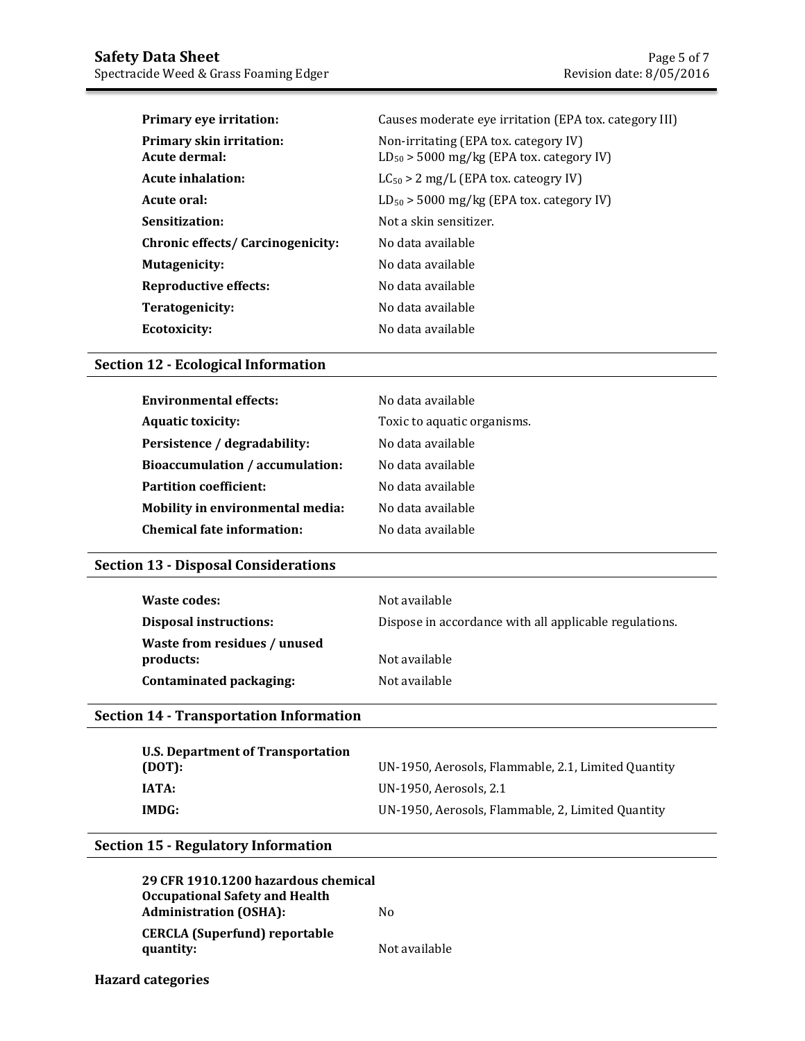| Primary eye irritation:                          | Causes moderate eye irritation (EPA tox. category III)                                 |
|--------------------------------------------------|----------------------------------------------------------------------------------------|
| <b>Primary skin irritation:</b><br>Acute dermal: | Non-irritating (EPA tox. category IV)<br>$LD_{50}$ > 5000 mg/kg (EPA tox. category IV) |
| <b>Acute inhalation:</b>                         | $LC_{50} > 2$ mg/L (EPA tox. cateogry IV)                                              |
| Acute oral:                                      | $LD_{50}$ > 5000 mg/kg (EPA tox. category IV)                                          |
| Sensitization:                                   | Not a skin sensitizer.                                                                 |
| Chronic effects/ Carcinogenicity:                | No data available                                                                      |
| <b>Mutagenicity:</b>                             | No data available                                                                      |
| <b>Reproductive effects:</b>                     | No data available                                                                      |
| Teratogenicity:                                  | No data available                                                                      |
| Ecotoxicity:                                     | No data available                                                                      |

## **Section 12 - Ecological Information**

| <b>Environmental effects:</b>          | No data available           |  |
|----------------------------------------|-----------------------------|--|
| <b>Aquatic toxicity:</b>               | Toxic to aquatic organisms. |  |
| Persistence / degradability:           | No data available           |  |
| <b>Bioaccumulation / accumulation:</b> | No data available           |  |
| <b>Partition coefficient:</b>          | No data available           |  |
| Mobility in environmental media:       | No data available           |  |
| <b>Chemical fate information:</b>      | No data available           |  |

## **Section 13 - Disposal Considerations**

| Waste codes:                              | Not available                                          |
|-------------------------------------------|--------------------------------------------------------|
| Disposal instructions:                    | Dispose in accordance with all applicable regulations. |
| Waste from residues / unused<br>products: | Not available                                          |
| Contaminated packaging:                   | Not available                                          |

#### **Section 14 - Transportation Information**

| U.S. Department of Transportation<br>(DOT): | UN-1950, Aerosols, Flammable, 2.1, Limited Quantity |
|---------------------------------------------|-----------------------------------------------------|
| IATA:                                       | UN-1950. Aerosols. 2.1                              |
| IMDG:                                       | UN-1950, Aerosols, Flammable, 2, Limited Quantity   |

## **Section 15 - Regulatory Information**

**29 CFR 1910.1200 hazardous chemical Occupational Safety and Health Administration (OSHA):** No **CERCLA (Superfund) reportable quantity:** Not available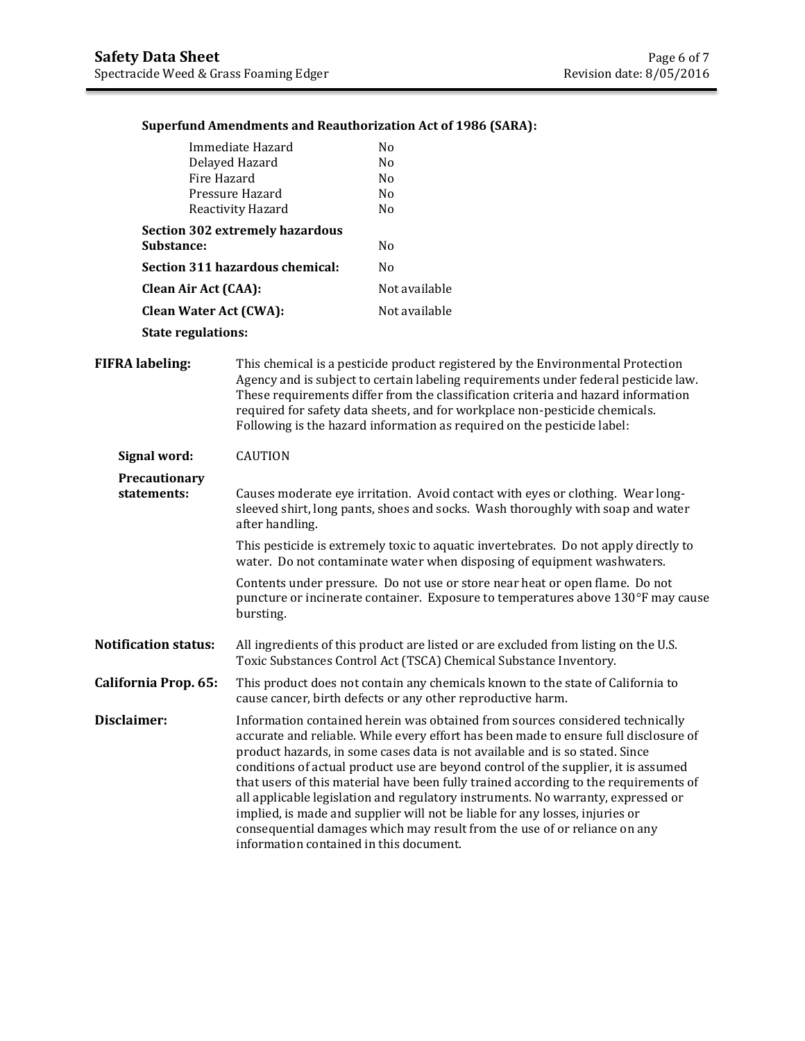#### **Superfund Amendments and Reauthorization Act of 1986 (SARA):**

| Immediate Hazard                | Nο            |
|---------------------------------|---------------|
| Delayed Hazard                  | No            |
| Fire Hazard                     | No            |
| Pressure Hazard                 | Nο            |
| Reactivity Hazard               | No            |
| Section 302 extremely hazardous |               |
| Substance:                      | No            |
| Section 311 hazardous chemical: | No            |
| Clean Air Act (CAA):            | Not available |
| <b>Clean Water Act (CWA):</b>   | Not available |
|                                 |               |

#### **State regulations:**

**FIFRA labeling:** This chemical is a pesticide product registered by the Environmental Protection Agency and is subject to certain labeling requirements under federal pesticide law. These requirements differ from the classification criteria and hazard information required for safety data sheets, and for workplace non-pesticide chemicals. Following is the hazard information as required on the pesticide label:

**Signal word:** CAUTION

**Precautionary statements:** Causes moderate eye irritation. Avoid contact with eyes or clothing. Wear longsleeved shirt, long pants, shoes and socks. Wash thoroughly with soap and water after handling. This pesticide is extremely toxic to aquatic invertebrates. Do not apply directly to water. Do not contaminate water when disposing of equipment washwaters. Contents under pressure. Do not use or store near heat or open flame. Do not puncture or incinerate container. Exposure to temperatures above 130°F may cause bursting. **Notification status:** All ingredients of this product are listed or are excluded from listing on the U.S. Toxic Substances Control Act (TSCA) Chemical Substance Inventory. **California Prop. 65:** This product does not contain any chemicals known to the state of California to cause cancer, birth defects or any other reproductive harm. **Disclaimer:** Information contained herein was obtained from sources considered technically accurate and reliable. While every effort has been made to ensure full disclosure of product hazards, in some cases data is not available and is so stated. Since conditions of actual product use are beyond control of the supplier, it is assumed that users of this material have been fully trained according to the requirements of all applicable legislation and regulatory instruments. No warranty, expressed or implied, is made and supplier will not be liable for any losses, injuries or consequential damages which may result from the use of or reliance on any

information contained in this document.